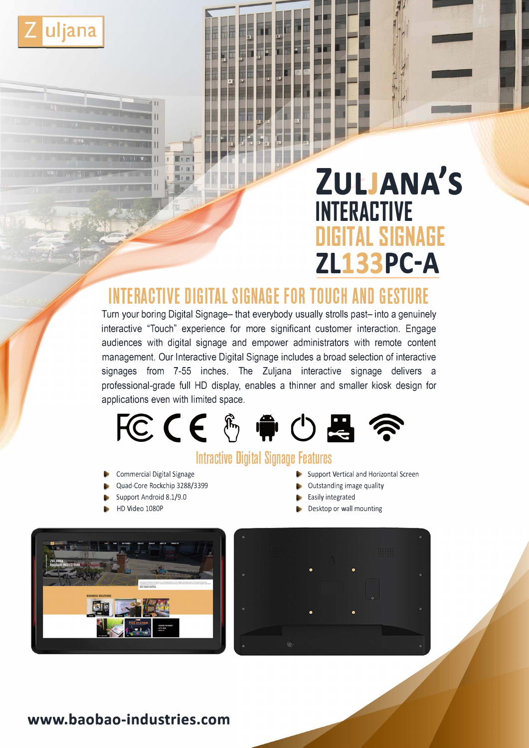

# **ZULJANA'S INTERACTIVE DIGITAL SIGNAGE ZL133PC-A**

# **INTERACTIVE DIGITAL SIGNAGE FOR TOUCH AND GESTURE**

Turn your boring Digital Signage- that everybody usually strolls past- into a genuinely interactive "Touch" experience for more significant customer interaction. Engage audiences with digital signage and empower administrators with remote content management. Our Interactive Digital Signage includes a broad selection of interactive signages from 7-55 inches. The Zuljana interactive signage delivers a professional-grade full HD display, enables a thinner and smaller kiosk design for applications even with limited space.



## **lntractive Digital Signage Features**

- Commercial Digital Signage
- Quad-Core Rockchip 3288/3399
- Support Android 8.1/9.0
- HD Video 1080P
- Support Vertical and Horizontal Screen
- Outstanding image quality
- Easily integrated
- Desktop or wall mounting





### **www.baobao-industries.com**